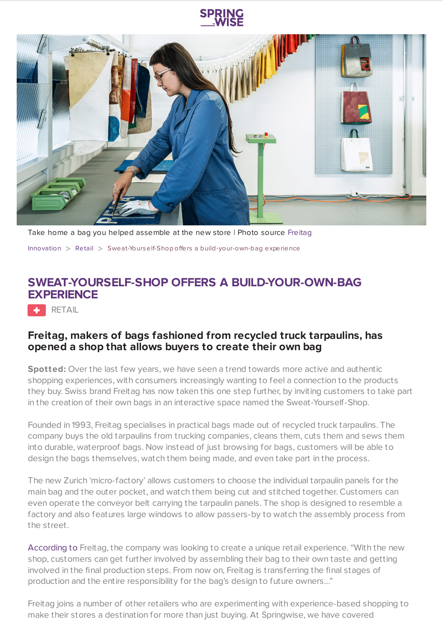

Take home a bag you helped assemble at the new store | Photo source [Freitag](https://www.freitag.ch/en/sweat-yourself)

[Innovation](https://www.springwise.com/search?type=innovation) > [Retail](https://www.springwise.com/search?type=innovation§or=retail) > Sweat-Yourself-Shop offers a build-your-own-bag experience

## **SWEAT-YOURSELF-SHOP OFFERS A BUILD-YOUR-OWN-BAG EXPERIENCE**

**RETAIL** 

## **Freitag, makers of bags fashioned from recycled truck tarpaulins, has opened a shop that allows buyers to create their own bag**

**Spotted:** Over the last few years, we have seen a trend towards more active and authentic shopping experiences, with consumers increasingly wanting to feel a connection to the products they buy. Swiss brand Freitag has now taken this one step further, by inviting customers to take part in the creation of their own bags in an interactive space named the Sweat-Yourself-Shop.

Founded in 1993, Freitag specialises in practical bags made out of recycled truck tarpaulins. The company buys the old tarpaulins from trucking companies, cleans them, cuts them and sews them into durable, waterproof bags. Now instead of just browsing for bags, customers will be able to design the bags themselves, watch them being made, and even take part in the process.

The new Zurich 'micro-factory' allows customers to choose the individual tarpaulin panels for the main bag and the outer pocket, and watch them being cut and stitched together. Customers can even operate the conveyor belt carrying the tarpaulin panels. The shop is designed to resemble a factory and also features large windows to allow passers-by to watch the assembly process from the street.

[According](https://www.dezeen.com/2020/10/31/sweat-yourself-shop-recycling-freitag-interiors-zurich/) to Freitag, the company was looking to create a unique retail experience. "With the new shop, customers can get further involved by assembling their bag to their own taste and getting involved in the final production steps. From now on, Freitag is transferring the final stages of production and the entire responsibility for the bag's design to future owners…"

Freitag joins a number of other retailers who are experimenting with experience-based shopping to make their stores a destination for more than just buying. At Springwise, we have covered